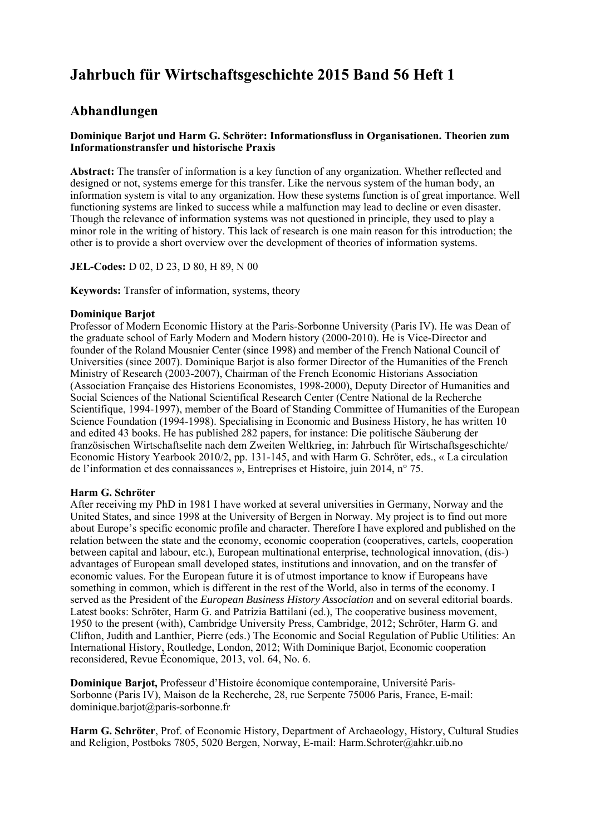# **Jahrbuch für Wirtschaftsgeschichte 2015 Band 56 Heft 1**

# **Abhandlungen**

# **Dominique Barjot und Harm G. Schröter: Informationsfluss in Organisationen. Theorien zum Informationstransfer und historische Praxis**

**Abstract:** The transfer of information is a key function of any organization. Whether reflected and designed or not, systems emerge for this transfer. Like the nervous system of the human body, an information system is vital to any organization. How these systems function is of great importance. Well functioning systems are linked to success while a malfunction may lead to decline or even disaster. Though the relevance of information systems was not questioned in principle, they used to play a minor role in the writing of history. This lack of research is one main reason for this introduction; the other is to provide a short overview over the development of theories of information systems.

**JEL-Codes:** D 02, D 23, D 80, H 89, N 00

**Keywords:** Transfer of information, systems, theory

#### **Dominique Barjot**

Professor of Modern Economic History at the Paris-Sorbonne University (Paris IV). He was Dean of the graduate school of Early Modern and Modern history (2000-2010). He is Vice-Director and founder of the Roland Mousnier Center (since 1998) and member of the French National Council of Universities (since 2007). Dominique Barjot is also former Director of the Humanities of the French Ministry of Research (2003-2007), Chairman of the French Economic Historians Association (Association Française des Historiens Economistes, 1998-2000), Deputy Director of Humanities and Social Sciences of the National Scientifical Research Center (Centre National de la Recherche Scientifique, 1994-1997), member of the Board of Standing Committee of Humanities of the European Science Foundation (1994-1998). Specialising in Economic and Business History, he has written 10 and edited 43 books. He has published 282 papers, for instance: Die politische Säuberung der französischen Wirtschaftselite nach dem Zweiten Weltkrieg, in: Jahrbuch für Wirtschaftsgeschichte/ Economic History Yearbook 2010/2, pp. 131-145, and with Harm G. Schröter, eds., « La circulation de l'information et des connaissances », Entreprises et Histoire, juin 2014, n° 75.

# **Harm G. Schröter**

After receiving my PhD in 1981 I have worked at several universities in Germany, Norway and the United States, and since 1998 at the University of Bergen in Norway. My project is to find out more about Europe's specific economic profile and character. Therefore I have explored and published on the relation between the state and the economy, economic cooperation (cooperatives, cartels, cooperation between capital and labour, etc.), European multinational enterprise, technological innovation, (dis-) advantages of European small developed states, institutions and innovation, and on the transfer of economic values. For the European future it is of utmost importance to know if Europeans have something in common, which is different in the rest of the World, also in terms of the economy. I served as the President of the *European Business History Association* and on several editorial boards. Latest books: Schröter, Harm G. and Patrizia Battilani (ed.), The cooperative business movement, 1950 to the present (with), Cambridge University Press, Cambridge, 2012; Schröter, Harm G. and Clifton, Judith and Lanthier, Pierre (eds.) The Economic and Social Regulation of Public Utilities: An International History, Routledge, London, 2012; With Dominique Barjot, Economic cooperation reconsidered, Revue Économique, 2013, vol. 64, No. 6.

**Dominique Barjot,** Professeur d'Histoire économique contemporaine, Université Paris-Sorbonne (Paris IV), Maison de la Recherche, 28, rue Serpente 75006 Paris, France, E-mail: dominique.barjot@paris-sorbonne.fr

**Harm G. Schröter**, Prof. of Economic History, Department of Archaeology, History, Cultural Studies and Religion, Postboks 7805, 5020 Bergen, Norway, E-mail: Harm.Schroter@ahkr.uib.no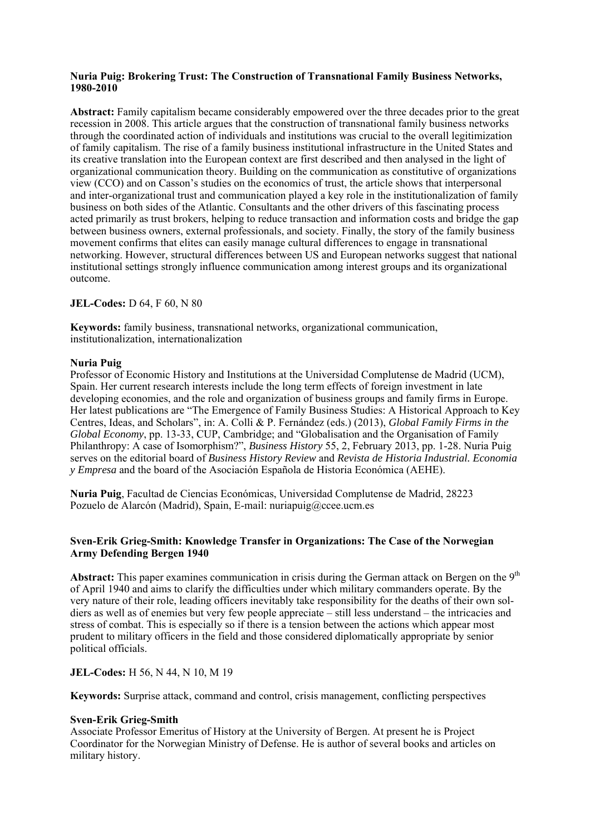#### **Nuria Puig: Brokering Trust: The Construction of Transnational Family Business Networks, 1980-2010**

**Abstract:** Family capitalism became considerably empowered over the three decades prior to the great recession in 2008. This article argues that the construction of transnational family business networks through the coordinated action of individuals and institutions was crucial to the overall legitimization of family capitalism. The rise of a family business institutional infrastructure in the United States and its creative translation into the European context are first described and then analysed in the light of organizational communication theory. Building on the communication as constitutive of organizations view (CCO) and on Casson's studies on the economics of trust, the article shows that interpersonal and inter-organizational trust and communication played a key role in the institutionalization of family business on both sides of the Atlantic. Consultants and the other drivers of this fascinating process acted primarily as trust brokers, helping to reduce transaction and information costs and bridge the gap between business owners, external professionals, and society. Finally, the story of the family business movement confirms that elites can easily manage cultural differences to engage in transnational networking. However, structural differences between US and European networks suggest that national institutional settings strongly influence communication among interest groups and its organizational outcome.

# **JEL-Codes:** D 64, F 60, N 80

**Keywords:** family business, transnational networks, organizational communication, institutionalization, internationalization

# **Nuria Puig**

Professor of Economic History and Institutions at the Universidad Complutense de Madrid (UCM), Spain. Her current research interests include the long term effects of foreign investment in late developing economies, and the role and organization of business groups and family firms in Europe. Her latest publications are "The Emergence of Family Business Studies: A Historical Approach to Key Centres, Ideas, and Scholars", in: A. Colli & P. Fernández (eds.) (2013), *Global Family Firms in the Global Economy*, pp. 13-33, CUP, Cambridge; and "Globalisation and the Organisation of Family Philanthropy: A case of Isomorphism?", *Business History* 55, 2, February 2013, pp. 1-28. Nuria Puig serves on the editorial board of *Business History Review* and *Revista de Historia Industrial. Economia y Empresa* and the board of the Asociación Española de Historia Económica (AEHE).

**Nuria Puig**, Facultad de Ciencias Económicas, Universidad Complutense de Madrid, 28223 Pozuelo de Alarcón (Madrid), Spain, E-mail: nuriapuig@ccee.ucm.es

# **Sven-Erik Grieg-Smith: Knowledge Transfer in Organizations: The Case of the Norwegian Army Defending Bergen 1940**

Abstract: This paper examines communication in crisis during the German attack on Bergen on the 9<sup>th</sup> of April 1940 and aims to clarify the difficulties under which military commanders operate. By the very nature of their role, leading officers inevitably take responsibility for the deaths of their own soldiers as well as of enemies but very few people appreciate – still less understand – the intricacies and stress of combat. This is especially so if there is a tension between the actions which appear most prudent to military officers in the field and those considered diplomatically appropriate by senior political officials.

# **JEL-Codes:** H 56, N 44, N 10, M 19

**Keywords:** Surprise attack, command and control, crisis management, conflicting perspectives

# **Sven-Erik Grieg-Smith**

Associate Professor Emeritus of History at the University of Bergen. At present he is Project Coordinator for the Norwegian Ministry of Defense. He is author of several books and articles on military history.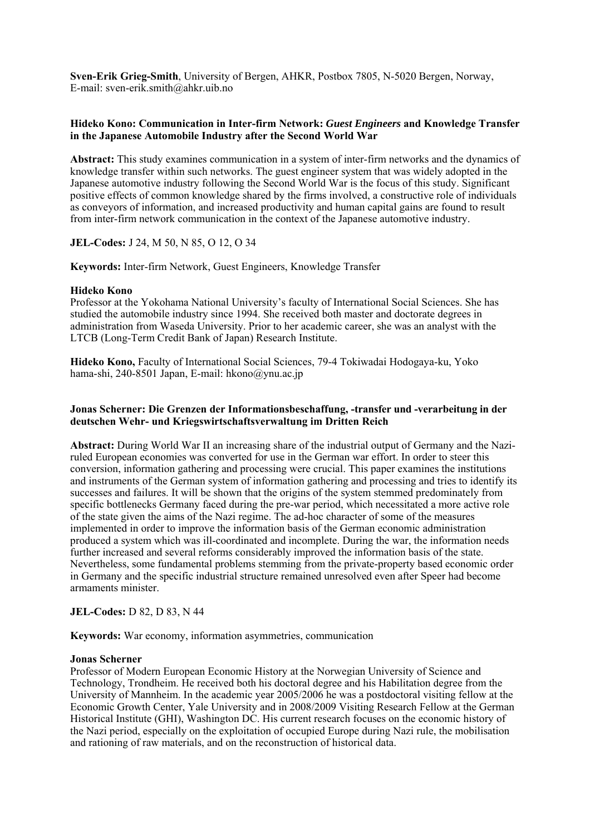**Sven-Erik Grieg-Smith**, University of Bergen, AHKR, Postbox 7805, N-5020 Bergen, Norway, E-mail: sven-erik.smith@ahkr.uib.no

## **Hideko Kono: Communication in Inter-firm Network:** *Guest Engineers* **and Knowledge Transfer in the Japanese Automobile Industry after the Second World War**

**Abstract:** This study examines communication in a system of inter-firm networks and the dynamics of knowledge transfer within such networks. The guest engineer system that was widely adopted in the Japanese automotive industry following the Second World War is the focus of this study. Significant positive effects of common knowledge shared by the firms involved, a constructive role of individuals as conveyors of information, and increased productivity and human capital gains are found to result from inter-firm network communication in the context of the Japanese automotive industry.

**JEL-Codes:** J 24, M 50, N 85, O 12, O 34

**Keywords:** Inter-firm Network, Guest Engineers, Knowledge Transfer

#### **Hideko Kono**

Professor at the Yokohama National University's faculty of International Social Sciences. She has studied the automobile industry since 1994. She received both master and doctorate degrees in administration from Waseda University. Prior to her academic career, she was an analyst with the LTCB (Long-Term Credit Bank of Japan) Research Institute.

**Hideko Kono,** Faculty of International Social Sciences, 79-4 Tokiwadai Hodogaya-ku, Yoko hama-shi, 240-8501 Japan, E-mail: hkono@ynu.ac.jp

#### **Jonas Scherner: Die Grenzen der Informationsbeschaffung, -transfer und -verarbeitung in der deutschen Wehr- und Kriegswirtschaftsverwaltung im Dritten Reich**

**Abstract:** During World War II an increasing share of the industrial output of Germany and the Naziruled European economies was converted for use in the German war effort. In order to steer this conversion, information gathering and processing were crucial. This paper examines the institutions and instruments of the German system of information gathering and processing and tries to identify its successes and failures. It will be shown that the origins of the system stemmed predominately from specific bottlenecks Germany faced during the pre-war period, which necessitated a more active role of the state given the aims of the Nazi regime. The ad-hoc character of some of the measures implemented in order to improve the information basis of the German economic administration produced a system which was ill-coordinated and incomplete. During the war, the information needs further increased and several reforms considerably improved the information basis of the state. Nevertheless, some fundamental problems stemming from the private-property based economic order in Germany and the specific industrial structure remained unresolved even after Speer had become armaments minister.

# **JEL-Codes:** D 82, D 83, N 44

**Keywords:** War economy, information asymmetries, communication

#### **Jonas Scherner**

Professor of Modern European Economic History at the Norwegian University of Science and Technology, Trondheim. He received both his doctoral degree and his Habilitation degree from the University of Mannheim. In the academic year 2005/2006 he was a postdoctoral visiting fellow at the Economic Growth Center, Yale University and in 2008/2009 Visiting Research Fellow at the German Historical Institute (GHI), Washington DC. His current research focuses on the economic history of the Nazi period, especially on the exploitation of occupied Europe during Nazi rule, the mobilisation and rationing of raw materials, and on the reconstruction of historical data.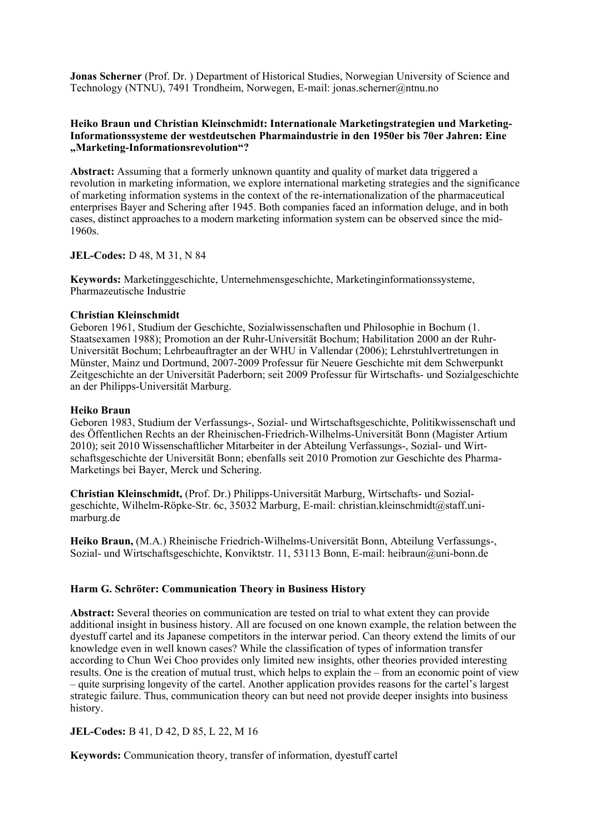**Jonas Scherner** (Prof. Dr.) Department of Historical Studies, Norwegian University of Science and Technology (NTNU), 7491 Trondheim, Norwegen, E-mail: jonas.scherner@ntnu.no

# **Heiko Braun und Christian Kleinschmidt: Internationale Marketingstrategien und Marketing-Informationssysteme der westdeutschen Pharmaindustrie in den 1950er bis 70er Jahren: Eine "Marketing-Informationsrevolution"?**

**Abstract:** Assuming that a formerly unknown quantity and quality of market data triggered a revolution in marketing information, we explore international marketing strategies and the significance of marketing information systems in the context of the re-internationalization of the pharmaceutical enterprises Bayer and Schering after 1945. Both companies faced an information deluge, and in both cases, distinct approaches to a modern marketing information system can be observed since the mid-1960s.

#### **JEL-Codes:** D 48, M 31, N 84

**Keywords:** Marketinggeschichte, Unternehmensgeschichte, Marketinginformationssysteme, Pharmazeutische Industrie

#### **Christian Kleinschmidt**

Geboren 1961, Studium der Geschichte, Sozialwissenschaften und Philosophie in Bochum (1. Staatsexamen 1988); Promotion an der Ruhr-Universität Bochum; Habilitation 2000 an der Ruhr-Universität Bochum; Lehrbeauftragter an der WHU in Vallendar (2006); Lehrstuhlvertretungen in Münster, Mainz und Dortmund, 2007-2009 Professur für Neuere Geschichte mit dem Schwerpunkt Zeitgeschichte an der Universität Paderborn; seit 2009 Professur für Wirtschafts- und Sozialgeschichte an der Philipps-Universität Marburg.

#### **Heiko Braun**

Geboren 1983, Studium der Verfassungs-, Sozial- und Wirtschaftsgeschichte, Politikwissenschaft und des Öffentlichen Rechts an der Rheinischen-Friedrich-Wilhelms-Universität Bonn (Magister Artium 2010); seit 2010 Wissenschaftlicher Mitarbeiter in der Abteilung Verfassungs-, Sozial- und Wirtschaftsgeschichte der Universität Bonn; ebenfalls seit 2010 Promotion zur Geschichte des Pharma-Marketings bei Bayer, Merck und Schering.

**Christian Kleinschmidt,** (Prof. Dr.) Philipps-Universität Marburg, Wirtschafts- und Sozialgeschichte, Wilhelm-Röpke-Str. 6c, 35032 Marburg, E-mail: christian.kleinschmidt@staff.unimarburg.de

**Heiko Braun,** (M.A.) Rheinische Friedrich-Wilhelms-Universität Bonn, Abteilung Verfassungs-, Sozial- und Wirtschaftsgeschichte, Konviktstr. 11, 53113 Bonn, E-mail: heibraun@uni-bonn.de

# **Harm G. Schröter: Communication Theory in Business History**

**Abstract:** Several theories on communication are tested on trial to what extent they can provide additional insight in business history. All are focused on one known example, the relation between the dyestuff cartel and its Japanese competitors in the interwar period. Can theory extend the limits of our knowledge even in well known cases? While the classification of types of information transfer according to Chun Wei Choo provides only limited new insights, other theories provided interesting results. One is the creation of mutual trust, which helps to explain the – from an economic point of view – quite surprising longevity of the cartel. Another application provides reasons for the cartel's largest strategic failure. Thus, communication theory can but need not provide deeper insights into business history.

# **JEL-Codes:** B 41, D 42, D 85, L 22, M 16

**Keywords:** Communication theory, transfer of information, dyestuff cartel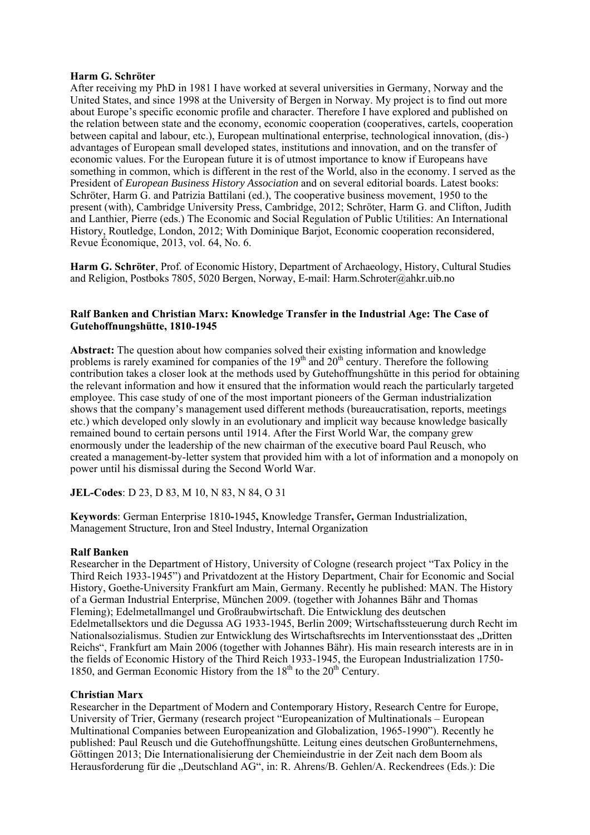#### **Harm G. Schröter**

After receiving my PhD in 1981 I have worked at several universities in Germany, Norway and the United States, and since 1998 at the University of Bergen in Norway. My project is to find out more about Europe's specific economic profile and character. Therefore I have explored and published on the relation between state and the economy, economic cooperation (cooperatives, cartels, cooperation between capital and labour, etc.), European multinational enterprise, technological innovation, (dis-) advantages of European small developed states, institutions and innovation, and on the transfer of economic values. For the European future it is of utmost importance to know if Europeans have something in common, which is different in the rest of the World, also in the economy. I served as the President of *European Business History Association* and on several editorial boards. Latest books: Schröter, Harm G. and Patrizia Battilani (ed.), The cooperative business movement, 1950 to the present (with), Cambridge University Press, Cambridge, 2012; Schröter, Harm G. and Clifton, Judith and Lanthier, Pierre (eds.) The Economic and Social Regulation of Public Utilities: An International History, Routledge, London, 2012; With Dominique Barjot, Economic cooperation reconsidered, Revue Économique, 2013, vol. 64, No. 6.

**Harm G. Schröter**, Prof. of Economic History, Department of Archaeology, History, Cultural Studies and Religion, Postboks 7805, 5020 Bergen, Norway, E-mail: Harm.Schroter@ahkr.uib.no

#### **Ralf Banken and Christian Marx: Knowledge Transfer in the Industrial Age: The Case of Gutehoffnungshütte, 1810-1945**

**Abstract:** The question about how companies solved their existing information and knowledge problems is rarely examined for companies of the  $19<sup>th</sup>$  and  $20<sup>th</sup>$  century. Therefore the following contribution takes a closer look at the methods used by Gutehoffnungshütte in this period for obtaining the relevant information and how it ensured that the information would reach the particularly targeted employee. This case study of one of the most important pioneers of the German industrialization shows that the company's management used different methods (bureaucratisation, reports, meetings etc.) which developed only slowly in an evolutionary and implicit way because knowledge basically remained bound to certain persons until 1914. After the First World War, the company grew enormously under the leadership of the new chairman of the executive board Paul Reusch, who created a management-by-letter system that provided him with a lot of information and a monopoly on power until his dismissal during the Second World War.

**JEL-Codes**: D 23, D 83, M 10, N 83, N 84, O 31

**Keywords**: German Enterprise 1810**-**1945**,** Knowledge Transfer**,** German Industrialization, Management Structure, Iron and Steel Industry, Internal Organization

# **Ralf Banken**

Researcher in the Department of History, University of Cologne (research project "Tax Policy in the Third Reich 1933-1945") and Privatdozent at the History Department, Chair for Economic and Social History, Goethe-University Frankfurt am Main, Germany. Recently he published: MAN. The History of a German Industrial Enterprise, München 2009. (together with Johannes Bähr and Thomas Fleming); Edelmetallmangel und Großraubwirtschaft. Die Entwicklung des deutschen Edelmetallsektors und die Degussa AG 1933-1945, Berlin 2009; Wirtschaftssteuerung durch Recht im Nationalsozialismus. Studien zur Entwicklung des Wirtschaftsrechts im Interventionsstaat des "Dritten Reichs", Frankfurt am Main 2006 (together with Johannes Bähr). His main research interests are in in the fields of Economic History of the Third Reich 1933-1945, the European Industrialization 1750- 1850, and German Economic History from the  $18<sup>th</sup>$  to the  $20<sup>th</sup>$  Century.

#### **Christian Marx**

Researcher in the Department of Modern and Contemporary History, Research Centre for Europe, University of Trier, Germany (research project "Europeanization of Multinationals – European Multinational Companies between Europeanization and Globalization, 1965-1990"). Recently he published: Paul Reusch und die Gutehoffnungshütte. Leitung eines deutschen Großunternehmens, Göttingen 2013; Die Internationalisierung der Chemieindustrie in der Zeit nach dem Boom als Herausforderung für die "Deutschland AG", in: R. Ahrens/B. Gehlen/A. Reckendrees (Eds.): Die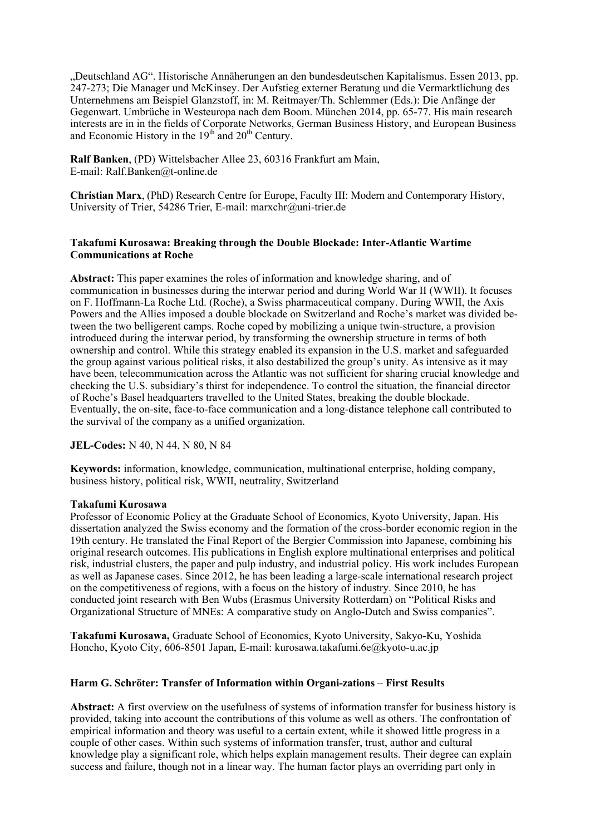"Deutschland AG". Historische Annäherungen an den bundesdeutschen Kapitalismus. Essen 2013, pp. 247-273; Die Manager und McKinsey. Der Aufstieg externer Beratung und die Vermarktlichung des Unternehmens am Beispiel Glanzstoff, in: M. Reitmayer/Th. Schlemmer (Eds.): Die Anfänge der Gegenwart. Umbrüche in Westeuropa nach dem Boom. München 2014, pp. 65-77. His main research interests are in in the fields of Corporate Networks, German Business History, and European Business and Economic History in the  $19<sup>th</sup>$  and  $20<sup>th</sup>$  Century.

**Ralf Banken**, (PD) Wittelsbacher Allee 23, 60316 Frankfurt am Main, E-mail: Ralf.Banken@t-online.de

**Christian Marx**, (PhD) Research Centre for Europe, Faculty III: Modern and Contemporary History, University of Trier, 54286 Trier, E-mail: marxchr@uni-trier.de

#### **Takafumi Kurosawa: Breaking through the Double Blockade: Inter-Atlantic Wartime Communications at Roche**

Abstract: This paper examines the roles of information and knowledge sharing, and of communication in businesses during the interwar period and during World War II (WWII). It focuses on F. Hoffmann-La Roche Ltd. (Roche), a Swiss pharmaceutical company. During WWII, the Axis Powers and the Allies imposed a double blockade on Switzerland and Roche's market was divided between the two belligerent camps. Roche coped by mobilizing a unique twin-structure, a provision introduced during the interwar period, by transforming the ownership structure in terms of both ownership and control. While this strategy enabled its expansion in the U.S. market and safeguarded the group against various political risks, it also destabilized the group's unity. As intensive as it may have been, telecommunication across the Atlantic was not sufficient for sharing crucial knowledge and checking the U.S. subsidiary's thirst for independence. To control the situation, the financial director of Roche's Basel headquarters travelled to the United States, breaking the double blockade. Eventually, the on-site, face-to-face communication and a long-distance telephone call contributed to the survival of the company as a unified organization.

# **JEL-Codes:** N 40, N 44, N 80, N 84

**Keywords:** information, knowledge, communication, multinational enterprise, holding company, business history, political risk, WWII, neutrality, Switzerland

#### **Takafumi Kurosawa**

Professor of Economic Policy at the Graduate School of Economics, Kyoto University, Japan. His dissertation analyzed the Swiss economy and the formation of the cross-border economic region in the 19th century. He translated the Final Report of the Bergier Commission into Japanese, combining his original research outcomes. His publications in English explore multinational enterprises and political risk, industrial clusters, the paper and pulp industry, and industrial policy. His work includes European as well as Japanese cases. Since 2012, he has been leading a large-scale international research project on the competitiveness of regions, with a focus on the history of industry. Since 2010, he has conducted joint research with Ben Wubs (Erasmus University Rotterdam) on "Political Risks and Organizational Structure of MNEs: A comparative study on Anglo-Dutch and Swiss companies".

**Takafumi Kurosawa,** Graduate School of Economics, Kyoto University, Sakyo-Ku, Yoshida Honcho, Kyoto City, 606-8501 Japan, E-mail: kurosawa.takafumi.6e@kyoto-u.ac.jp

#### **Harm G. Schröter: Transfer of Information within Organi-zations – First Results**

**Abstract:** A first overview on the usefulness of systems of information transfer for business history is provided, taking into account the contributions of this volume as well as others. The confrontation of empirical information and theory was useful to a certain extent, while it showed little progress in a couple of other cases. Within such systems of information transfer, trust, author and cultural knowledge play a significant role, which helps explain management results. Their degree can explain success and failure, though not in a linear way. The human factor plays an overriding part only in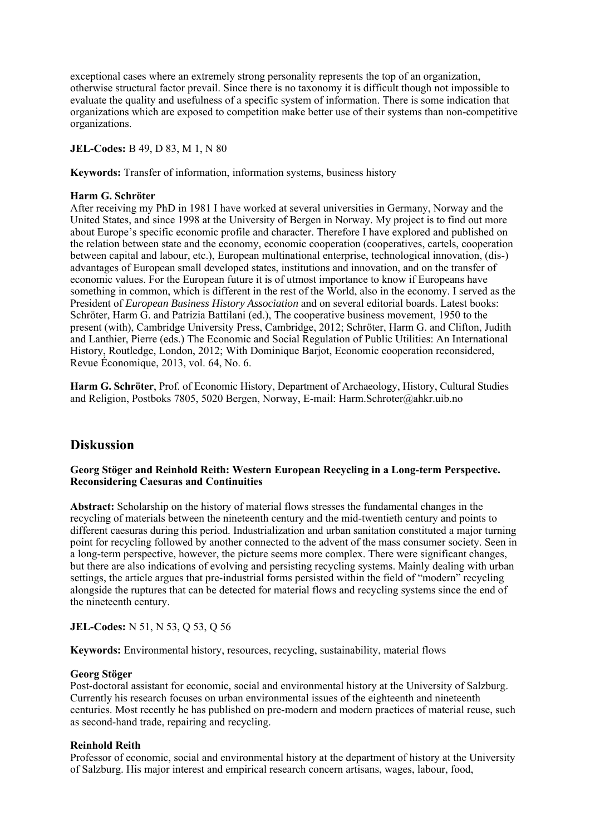exceptional cases where an extremely strong personality represents the top of an organization, otherwise structural factor prevail. Since there is no taxonomy it is difficult though not impossible to evaluate the quality and usefulness of a specific system of information. There is some indication that organizations which are exposed to competition make better use of their systems than non-competitive organizations.

# **JEL-Codes:** B 49, D 83, M 1, N 80

**Keywords:** Transfer of information, information systems, business history

#### **Harm G. Schröter**

After receiving my PhD in 1981 I have worked at several universities in Germany, Norway and the United States, and since 1998 at the University of Bergen in Norway. My project is to find out more about Europe's specific economic profile and character. Therefore I have explored and published on the relation between state and the economy, economic cooperation (cooperatives, cartels, cooperation between capital and labour, etc.), European multinational enterprise, technological innovation, (dis-) advantages of European small developed states, institutions and innovation, and on the transfer of economic values. For the European future it is of utmost importance to know if Europeans have something in common, which is different in the rest of the World, also in the economy. I served as the President of *European Business History Association* and on several editorial boards. Latest books: Schröter, Harm G. and Patrizia Battilani (ed.), The cooperative business movement, 1950 to the present (with), Cambridge University Press, Cambridge, 2012; Schröter, Harm G. and Clifton, Judith and Lanthier, Pierre (eds.) The Economic and Social Regulation of Public Utilities: An International History, Routledge, London, 2012; With Dominique Barjot, Economic cooperation reconsidered, Revue Économique, 2013, vol. 64, No. 6.

**Harm G. Schröter**, Prof. of Economic History, Department of Archaeology, History, Cultural Studies and Religion, Postboks 7805, 5020 Bergen, Norway, E-mail: Harm.Schroter@ahkr.uib.no

# **Diskussion**

#### **Georg Stöger and Reinhold Reith: Western European Recycling in a Long-term Perspective. Reconsidering Caesuras and Continuities**

**Abstract:** Scholarship on the history of material flows stresses the fundamental changes in the recycling of materials between the nineteenth century and the mid-twentieth century and points to different caesuras during this period. Industrialization and urban sanitation constituted a major turning point for recycling followed by another connected to the advent of the mass consumer society. Seen in a long-term perspective, however, the picture seems more complex. There were significant changes, but there are also indications of evolving and persisting recycling systems. Mainly dealing with urban settings, the article argues that pre-industrial forms persisted within the field of "modern" recycling alongside the ruptures that can be detected for material flows and recycling systems since the end of the nineteenth century.

# **JEL-Codes:** N 51, N 53, Q 53, Q 56

**Keywords:** Environmental history, resources, recycling, sustainability, material flows

# **Georg Stöger**

Post-doctoral assistant for economic, social and environmental history at the University of Salzburg. Currently his research focuses on urban environmental issues of the eighteenth and nineteenth centuries. Most recently he has published on pre-modern and modern practices of material reuse, such as second-hand trade, repairing and recycling.

# **Reinhold Reith**

Professor of economic, social and environmental history at the department of history at the University of Salzburg. His major interest and empirical research concern artisans, wages, labour, food,